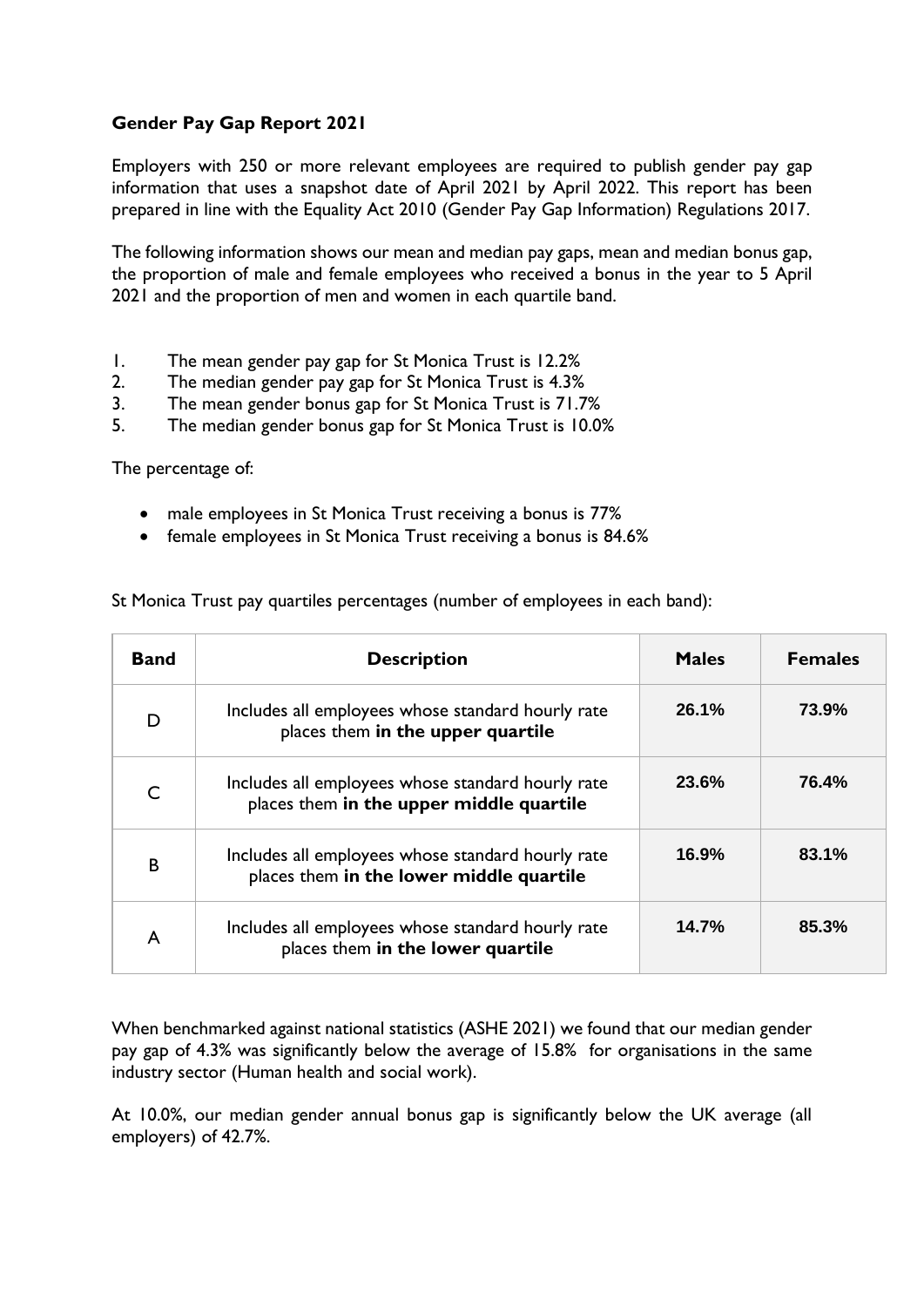## **Gender Pay Gap Report 2021**

Employers with 250 or more relevant employees are required to publish gender pay gap information that uses a snapshot date of April 2021 by April 2022. This report has been prepared in line with the Equality Act 2010 (Gender Pay Gap Information) Regulations 2017.

The following information shows our mean and median pay gaps, mean and median bonus gap, the proportion of male and female employees who received a bonus in the year to 5 April 2021 and the proportion of men and women in each quartile band.

- 1. The mean gender pay gap for St Monica Trust is 12.2%
- 2. The median gender pay gap for St Monica Trust is 4.3%
- 3. The mean gender bonus gap for St Monica Trust is 71.7%
- 5. The median gender bonus gap for St Monica Trust is 10.0%

The percentage of:

- male employees in St Monica Trust receiving a bonus is 77%
- female employees in St Monica Trust receiving a bonus is 84.6%

St Monica Trust pay quartiles percentages (number of employees in each band):

| <b>Band</b>  | <b>Description</b>                                                                            | <b>Males</b> | <b>Females</b> |
|--------------|-----------------------------------------------------------------------------------------------|--------------|----------------|
| D            | Includes all employees whose standard hourly rate<br>places them in the upper quartile        | 26.1%        | 73.9%          |
| $\mathsf{C}$ | Includes all employees whose standard hourly rate<br>places them in the upper middle quartile | 23.6%        | 76.4%          |
| B            | Includes all employees whose standard hourly rate<br>places them in the lower middle quartile | 16.9%        | 83.1%          |
| A            | Includes all employees whose standard hourly rate<br>places them in the lower quartile        | 14.7%        | 85.3%          |

When benchmarked against national statistics (ASHE 2021) we found that our median gender pay gap of 4.3% was significantly below the average of 15.8% for organisations in the same industry sector (Human health and social work).

At 10.0%, our median gender annual bonus gap is significantly below the UK average (all employers) of 42.7%.